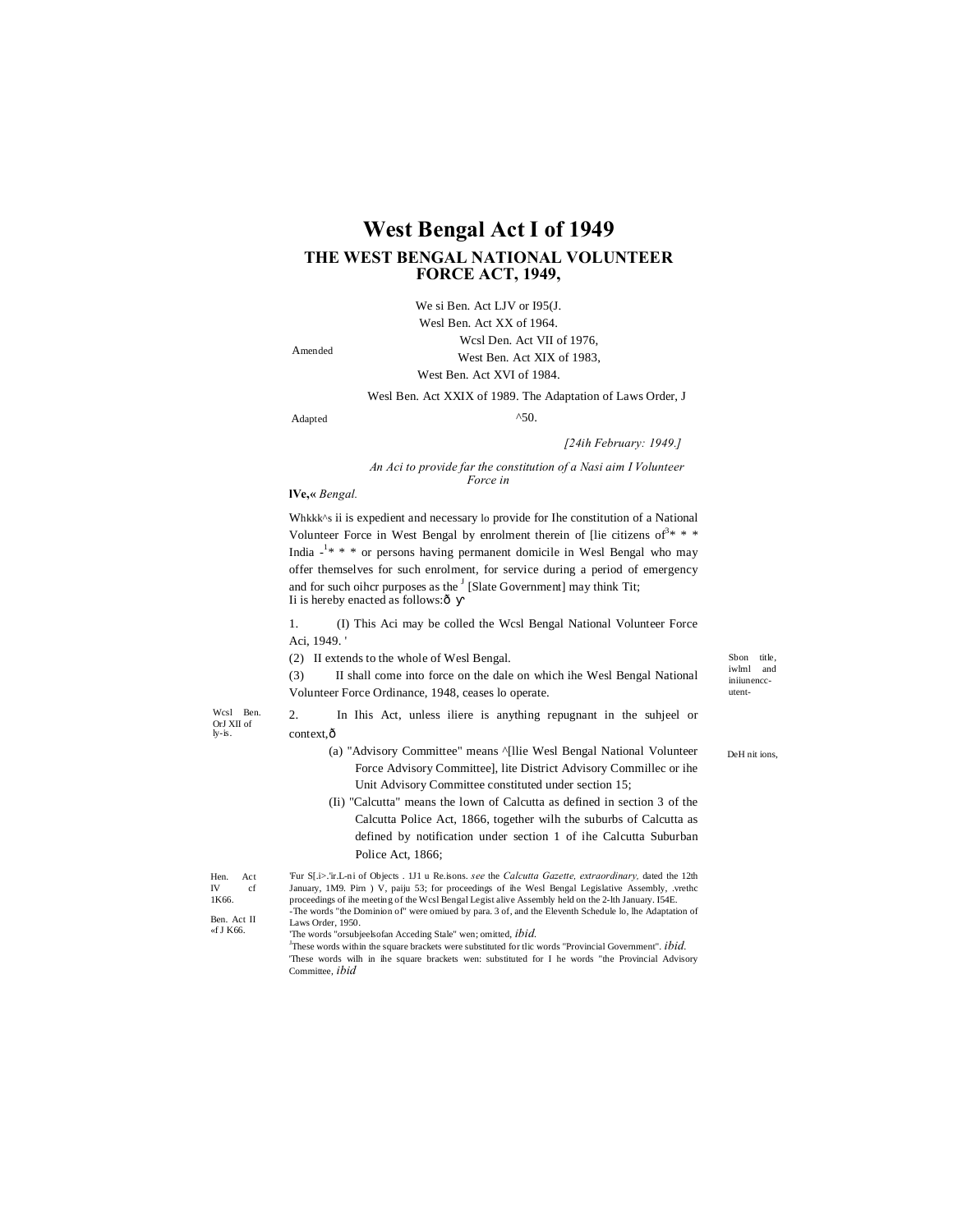# **West Bengal Act I of 1949** THE WEST BENGAL NATIONAL VOLUNTEER **FORCE ACT, 1949,**

We si Ben. Act LJV or I95(J. Wesl Ben. Act XX of 1964. Wcsl Den. Act VII of 1976, West Ben. Act XIX of 1983, West Ben. Act XVI of 1984.

Amended

Wesl Ben. Act XXIX of 1989. The Adaptation of Laws Order, J  $^{\wedge}50.$ 

Adapted

[24ih February: 1949.]

#### An Aci to provide far the constitution of a Nasi aim I Volunteer Force in

#### IVe,« Bengal.

Whkkk^s ii is expedient and necessary lo provide for Ihe constitution of a National Volunteer Force in West Bengal by enrolment therein of [lie citizens of  $\delta^3$ \* \* \* India  $-1$ <sup>\*</sup> \* \* or persons having permanent domicile in Wesl Bengal who may offer themselves for such enrolment, for service during a period of emergency and for such other purposes as the <sup>J</sup> [Slate Government] may think Tit; Ii is hereby enacted as follows:ô

(I) This Aci may be colled the Wcsl Bengal National Volunteer Force 1. Aci, 1949.'

(2) II extends to the whole of Wesl Bengal.

II shall come into force on the dale on which ihe Wesl Bengal National  $(3)$ Volunteer Force Ordinance, 1948, ceases lo operate.

Wcsl Ben. OrJ XII of  $k = i$ 

Hen.<br>IV

1K66.

 $\overline{2}$ . In Ihis Act, unless iliere is anything repugnant in the suhjeel or context.ô

- (a) "Advisory Committee" means ^[llie Wesl Bengal National Volunteer Force Advisory Committee], lite District Advisory Commillec or ihe Unit Advisory Committee constituted under section 15;
- (Ii) "Calcutta" means the lown of Calcutta as defined in section 3 of the Calcutta Police Act, 1866, together wilh the suburbs of Calcutta as defined by notification under section 1 of ihe Calcutta Suburban Police Act, 1866;

Fur S[.i>.'ir.L-ni of Objects . 1J1 u Re.isons. see the Calcutta Gazette, extraordinary, dated the 12th Act January, 1M9. Pirn ) V, paiju 53; for proceedings of the West Bengal Legislative Assembly, .vrethc cf proceedings of the meeting of the Wcsl Bengal Legist alive Assembly held on the 2-lth January. I54E. The words "the Dominion of" were omiued by para. 3 of, and the Eleventh Schedule lo, lhe Adaptation of Ben. Act II Laws Order, 1950. «f I K66 The words "orsubjeelsofan Acceding Stale" wen; omitted, ibid.

<sup>J</sup>These words within the square brackets were substituted for tlic words "Provincial Government".  $ibid$ .

'These words wilh in ihe square brackets wen: substituted for I he words "the Provincial Advisory Committee, *ibid* 

Shon title. iwlml and inijunenccutent-

DeH nit ions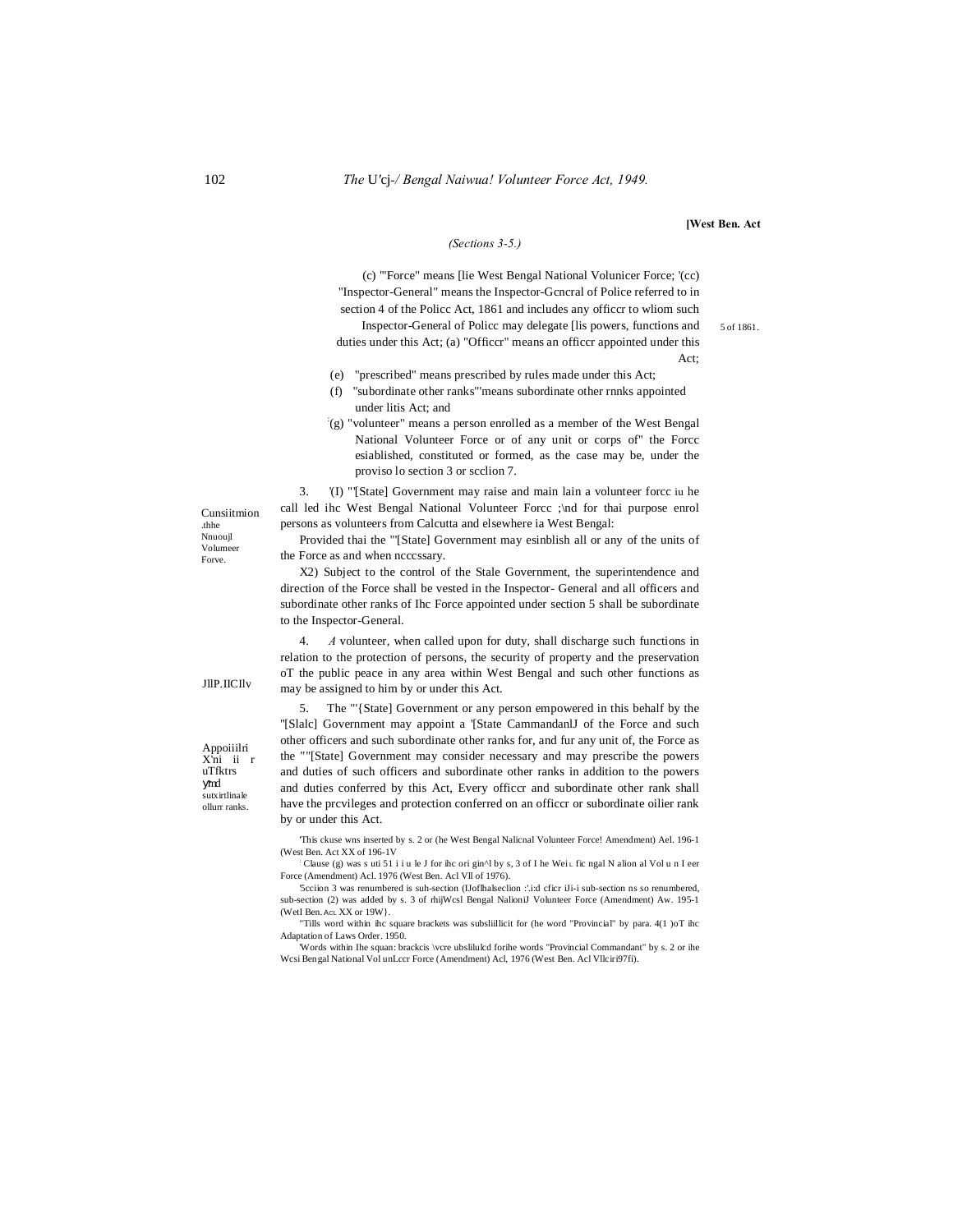#### [West Ben. Act

5 of 1861.

Act:

#### (Sections 3-5.)

(c) "Force" means [lie West Bengal National Volunicer Force; '(cc) "Inspector-General" means the Inspector-General of Police referred to in section 4 of the Police Act, 1861 and includes any officer to wliom such

Inspector-General of Policc may delegate [lis powers, functions and duties under this Act; (a) "Officcr" means an officcr appointed under this

- (e) "prescribed" means prescribed by rules made under this Act;
- "subordinate other ranks" means subordinate other rnnks appointed  $(f)$ under litis Act: and
- $(g)$  "volunteer" means a person enrolled as a member of the West Bengal National Volunteer Force or of any unit or corps of" the Force esiablished, constituted or formed, as the case may be, under the proviso lo section 3 or scclion 7.

'(I) "[State] Government may raise and main lain a volunteer force iu he 3. call led ihc West Bengal National Volunteer Force ; and for thai purpose enrol persons as volunteers from Calcutta and elsewhere ia West Bengal:

Provided thai the "[State] Government may esinblish all or any of the units of the Force as and when ncccssary.

X2) Subject to the control of the Stale Government, the superintendence and direction of the Force shall be vested in the Inspector- General and all officers and subordinate other ranks of Ihc Force appointed under section 5 shall be subordinate to the Inspector-General.

A volunteer, when called upon for duty, shall discharge such functions in  $\overline{4}$ relation to the protection of persons, the security of property and the preservation oT the public peace in any area within West Bengal and such other functions as may be assigned to him by or under this Act.

The "'{State] Government or any person empowered in this behalf by the  $5<sup>1</sup>$ "[Slalc] Government may appoint a '[State CammandanlJ of the Force and such other officers and such subordinate other ranks for, and fur any unit of, the Force as the ""[State] Government may consider necessary and may prescribe the powers and duties of such officers and subordinate other ranks in addition to the powers and duties conferred by this Act, Every officer and subordinate other rank shall have the prcvileges and protection conferred on an officer or subordinate oilier rank by or under this Act.

This ckuse wns inserted by s. 2 or (he West Bengal Nalicnal Volunteer Force! Amendment) Ael. 196-1 (West Ben. Act XX of 196-1V)

Clause (g) was s uti 51 i i u le J for the origin<sup>{</sup> N by s, 3 of I he Wei L fie ngal N alion al Vol u n I eer Force (Amendment) Acl. 1976 (West Ben. Acl VII of 1976).

'5cciion 3 was renumbered is suh-section (IJoffhalseclion :'.i:d cficr iJi-i sub-section ns so renumbered. sub-section (2) was added by s. 3 of rhijWcsl Bengal NalioniJ Volunteer Force (Amendment) Aw. 195-1 (WetI Ben. AcL XX or 19W}.

"Tills word within ihc square brackets was subsliillicit for (he word "Provincial" by para. 4(1 )oT ihc Adaptation of Laws Order. 1950.

Words within Ihe squan: brackcis \vcre ubslilulcd forihe words "Provincial Commandant" by s. 2 or ihe Wesi Bengal National Vol unLeer Force (Amendment) Acl, 1976 (West Ben. Acl Vllciri97fi).

Cunsiitmion .thhe Nnuouil Volumeer Forve.

JIIP. IICHv

Appoiiilri

X'ni ii r **uTfktrs** 

sutvirtlinale

ollurr ranks.

md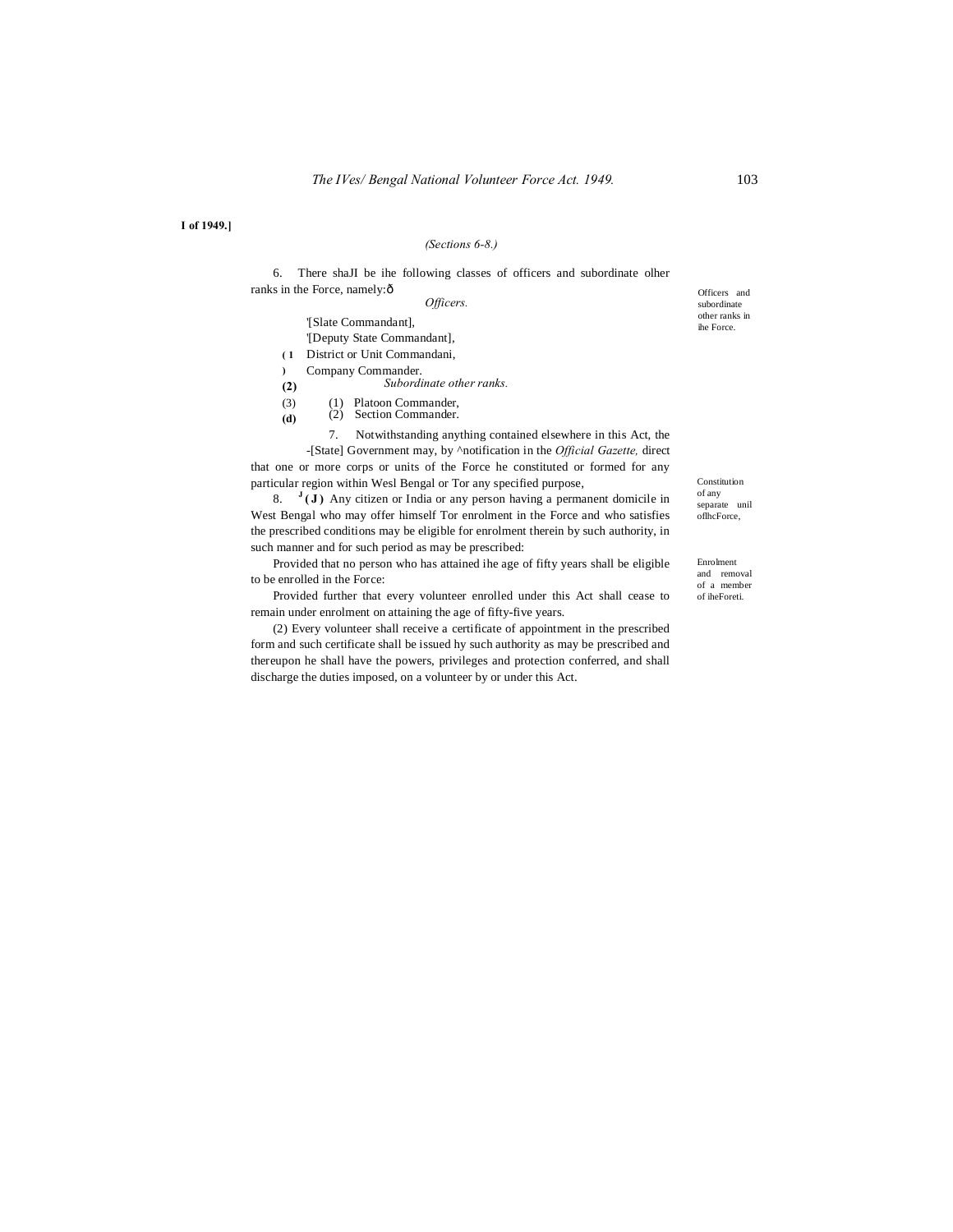**I of 1949.]**

# *(Sections 6-8.)*

6. There shaJI be ihe following classes of officers and subordinate olher ranks in the Force, namely: $\hat{o}$ 

*Officers.*

'[Slate Commandant],

'[Deputy State Commandant],

**( 1** District or Unit Commandani,

**)**  Company Commander.

**(2)**  *Subordinate other ranks.*

(3) (1) Platoon Commander,

**(d)** (2) Section Commander.

7. Notwithstanding anything contained elsewhere in this Act, the

-[State] Government may, by ^notification in the *Official Gazette,* direct that one or more corps or units of the Force he constituted or formed for any particular region within Wesl Bengal or Tor any specified purpose,

8.  $J(\mathbf{J})$  Any citizen or India or any person having a permanent domicile in West Bengal who may offer himself Tor enrolment in the Force and who satisfies the prescribed conditions may be eligible for enrolment therein by such authority, in such manner and for such period as may be prescribed:

Provided that no person who has attained ihe age of fifty years shall be eligible to be enrolled in the Force:

Provided further that every volunteer enrolled under this Act shall cease to remain under enrolment on attaining the age of fifty-five years.

(2) Every volunteer shall receive a certificate of appointment in the prescribed form and such certificate shall be issued hy such authority as may be prescribed and thereupon he shall have the powers, privileges and protection conferred, and shall discharge the duties imposed, on a volunteer by or under this Act.

Officers and subordinate other ranks in ihe Force.

Constitution of any separate unil oflhcForce,

Enrolment and removal of a member of iheForeti.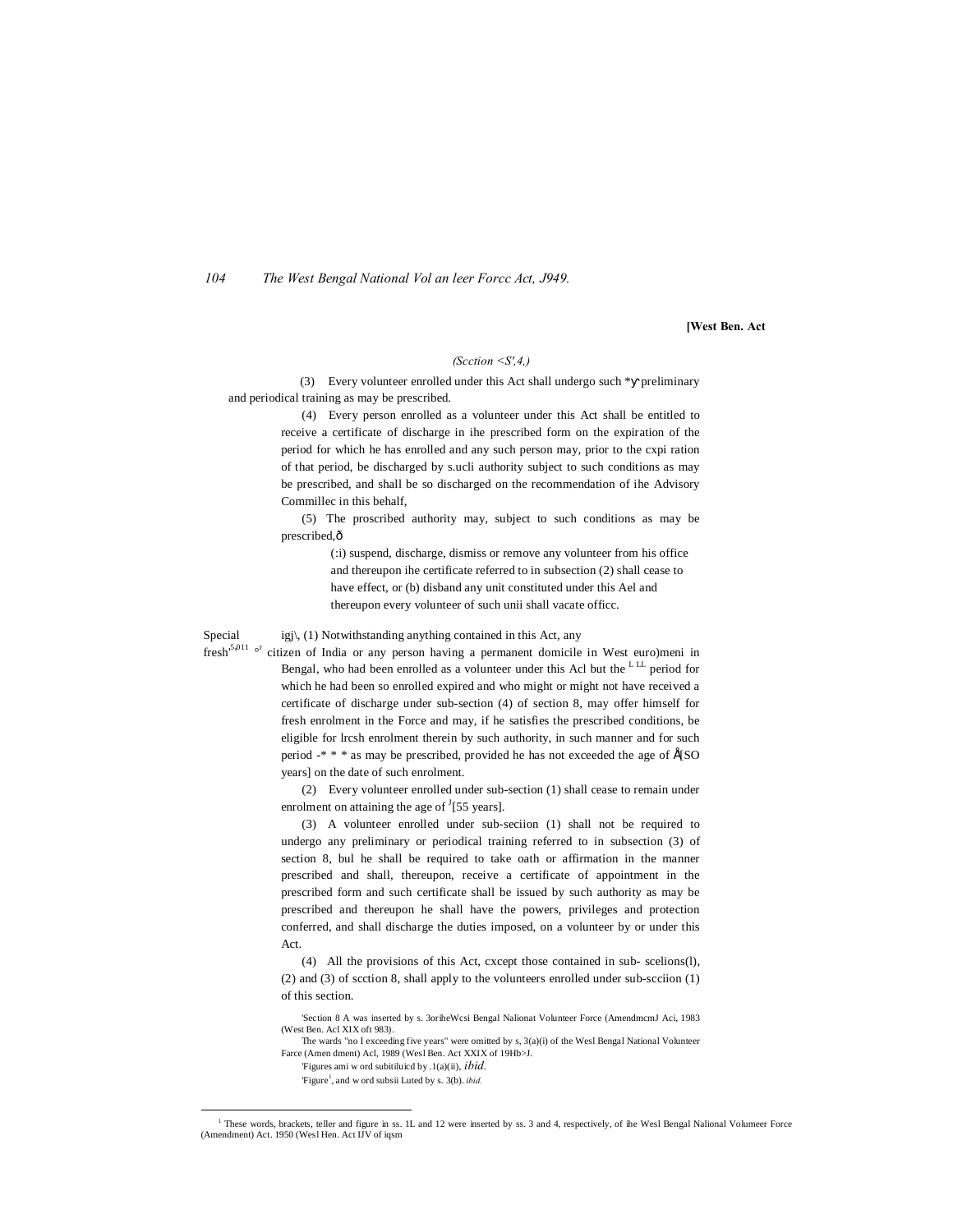*104 The West Bengal National Vol an leer Forcc Act, J949.*

**[West Ben. Act**

# *(Scction <S',4,)*

(3) Every volunteer enrolled under this Act shall undergo such \* preliminary and periodical training as may be prescribed.

> (4) Every person enrolled as a volunteer under this Act shall be entitled to receive a certificate of discharge in ihe prescribed form on the expiration of the period for which he has enrolled and any such person may, prior to the cxpi ration of that period, be discharged by s.ucli authority subject to such conditions as may be prescribed, and shall be so discharged on the recommendation of ihe Advisory Commillec in this behalf,

> (5) The proscribed authority may, subject to such conditions as may be prescribed, $\hat{\text{o}}$

> > (:i) suspend, discharge, dismiss or remove any volunteer from his office and thereupon ihe certificate referred to in subsection (2) shall cease to have effect, or (b) disband any unit constituted under this Ael and thereupon every volunteer of such unii shall vacate officc.

#### Special igj $\setminus$  (1) Notwithstanding anything contained in this Act, any

fresh<sup>5,011</sup> <sup>or</sup> citizen of India or any person having a permanent domicile in West euro)meni in Bengal, who had been enrolled as a volunteer under this Acl but the LLL period for which he had been so enrolled expired and who might or might not have received a certificate of discharge under sub-section (4) of section 8, may offer himself for fresh enrolment in the Force and may, if he satisfies the prescribed conditions, be eligible for lrcsh enrolment therein by such authority, in such manner and for such period  $-$ \* \* \* as may be prescribed, provided he has not exceeded the age of  $E(SO)$ years] on the date of such enrolment.

> (2) Every volunteer enrolled under sub-section (1) shall cease to remain under enrolment on attaining the age of  $\frac{1}{55}$  years].

> (3) A volunteer enrolled under sub-seciion (1) shall not be required to undergo any preliminary or periodical training referred to in subsection (3) of section 8, bul he shall be required to take oath or affirmation in the manner prescribed and shall, thereupon, receive a certificate of appointment in the prescribed form and such certificate shall be issued by such authority as may be prescribed and thereupon he shall have the powers, privileges and protection conferred, and shall discharge the duties imposed, on a volunteer by or under this Act.

> (4) All the provisions of this Act, cxcept those contained in sub- scelions(l), (2) and (3) of scction 8, shall apply to the volunteers enrolled under sub-scciion (1) of this section.

> 'Section 8 A was inserted by s. 3oriheWcsi Bengal Nalionat Volunteer Force (AmendmcmJ Aci, 1983 (West Ben. Acl XIX oft 983).

> The wards "no I exceeding five years" were omitted by s,  $3(a)(i)$  of the Wesl Bengal National Volunteer Farce (Amen dment) Acl, 1989 (Wesl Ben. Act XXIX of 19Hb>J.

'Figures ami w ord subitiluicd by .1(a)(ii), *ibid.*

'Figure<sup>1</sup>, and w ord subsii Luted by s. 3(b). *ibid.* 

<sup>&</sup>lt;sup>1</sup> These words, brackets, teller and figure in ss. 1L and 12 were inserted by ss. 3 and 4, respectively, of ihe Wesl Bengal Nalional Volumeer Force (Amendment) Act. 1950 (Wesl Hen. Act IJV of iqsm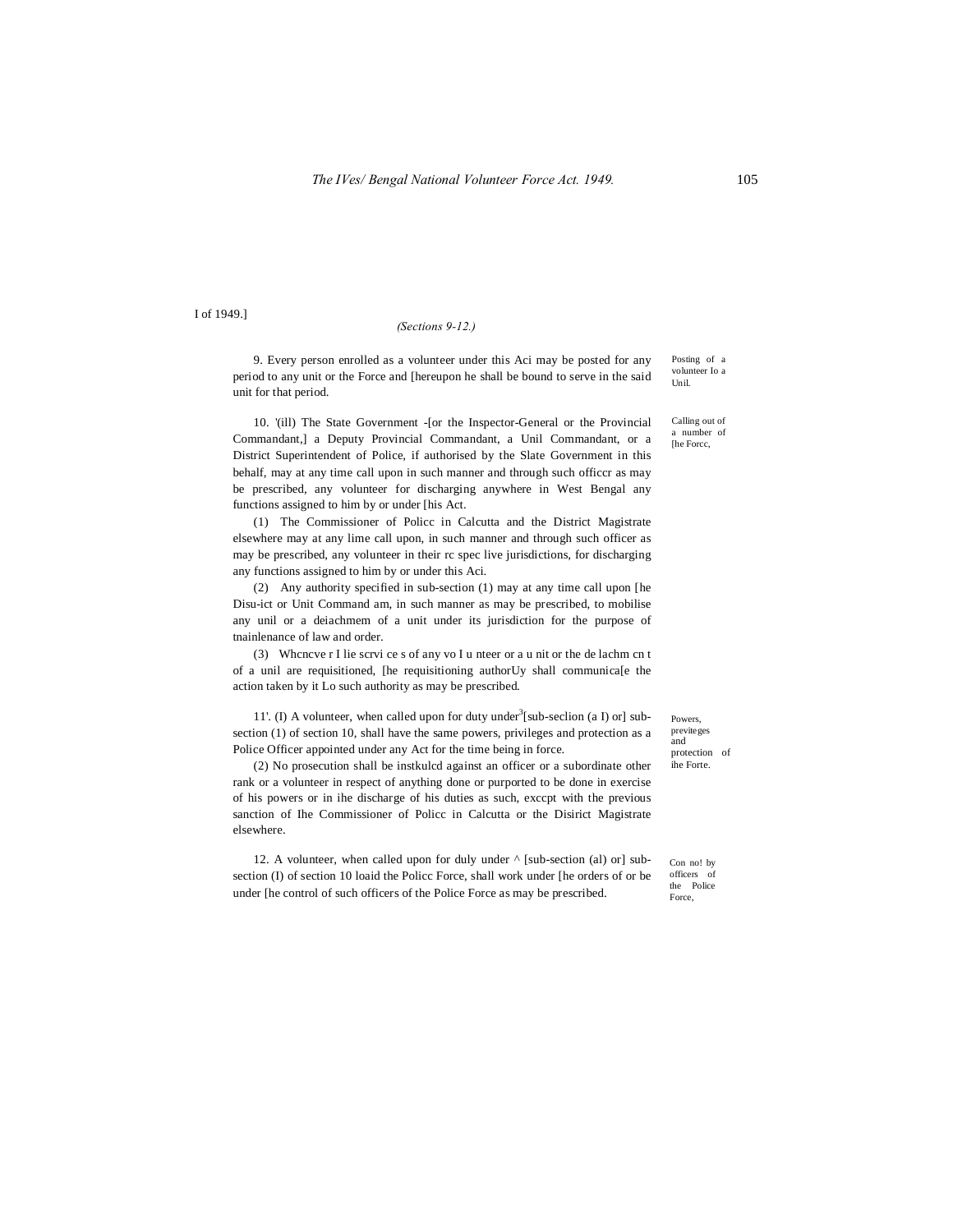I of 1949.]

#### *(Sections 9-12.)*

9. Every person enrolled as a volunteer under this Aci may be posted for any period to any unit or the Force and [hereupon he shall be bound to serve in the said unit for that period.

10. '(ill) The State Government -[or the Inspector-General or the Provincial Commandant,] a Deputy Provincial Commandant, a Unil Commandant, or a District Superintendent of Police, if authorised by the Slate Government in this behalf, may at any time call upon in such manner and through such officcr as may be prescribed, any volunteer for discharging anywhere in West Bengal any functions assigned to him by or under [his Act.

(1) The Commissioner of Policc in Calcutta and the District Magistrate elsewhere may at any lime call upon, in such manner and through such officer as may be prescribed, any volunteer in their rc spec live jurisdictions, for discharging any functions assigned to him by or under this Aci.

(2) Any authority specified in sub-section (1) may at any time call upon [he Disu-ict or Unit Command am, in such manner as may be prescribed, to mobilise any unil or a deiachmem of a unit under its jurisdiction for the purpose of tnainlenance of law and order.

(3) Whcncve r I lie scrvi ce s of any vo I u nteer or a u nit or the de lachm cn t of a unil are requisitioned, [he requisitioning authorUy shall communica[e the action taken by it Lo such authority as may be prescribed.

11'. (I) A volunteer, when called upon for duty under<sup>3</sup>[sub-seclion (a I) or] subsection (1) of section 10, shall have the same powers, privileges and protection as a Police Officer appointed under any Act for the time being in force.

(2) No prosecution shall be instkulcd against an officer or a subordinate other rank or a volunteer in respect of anything done or purported to be done in exercise of his powers or in ihe discharge of his duties as such, exccpt with the previous sanction of Ihe Commissioner of Policc in Calcutta or the Disirict Magistrate elsewhere.

12. A volunteer, when called upon for duly under ^ [sub-section (al) or] subsection (I) of section 10 loaid the Policc Force, shall work under [he orders of or be under [he control of such officers of the Police Force as may be prescribed.

Powers, previteges and protection of ihe Forte.

Con no! by officers of the Police Force,

Posting of a volunteer Io a Unil.

Calling out of a number of [he Forcc,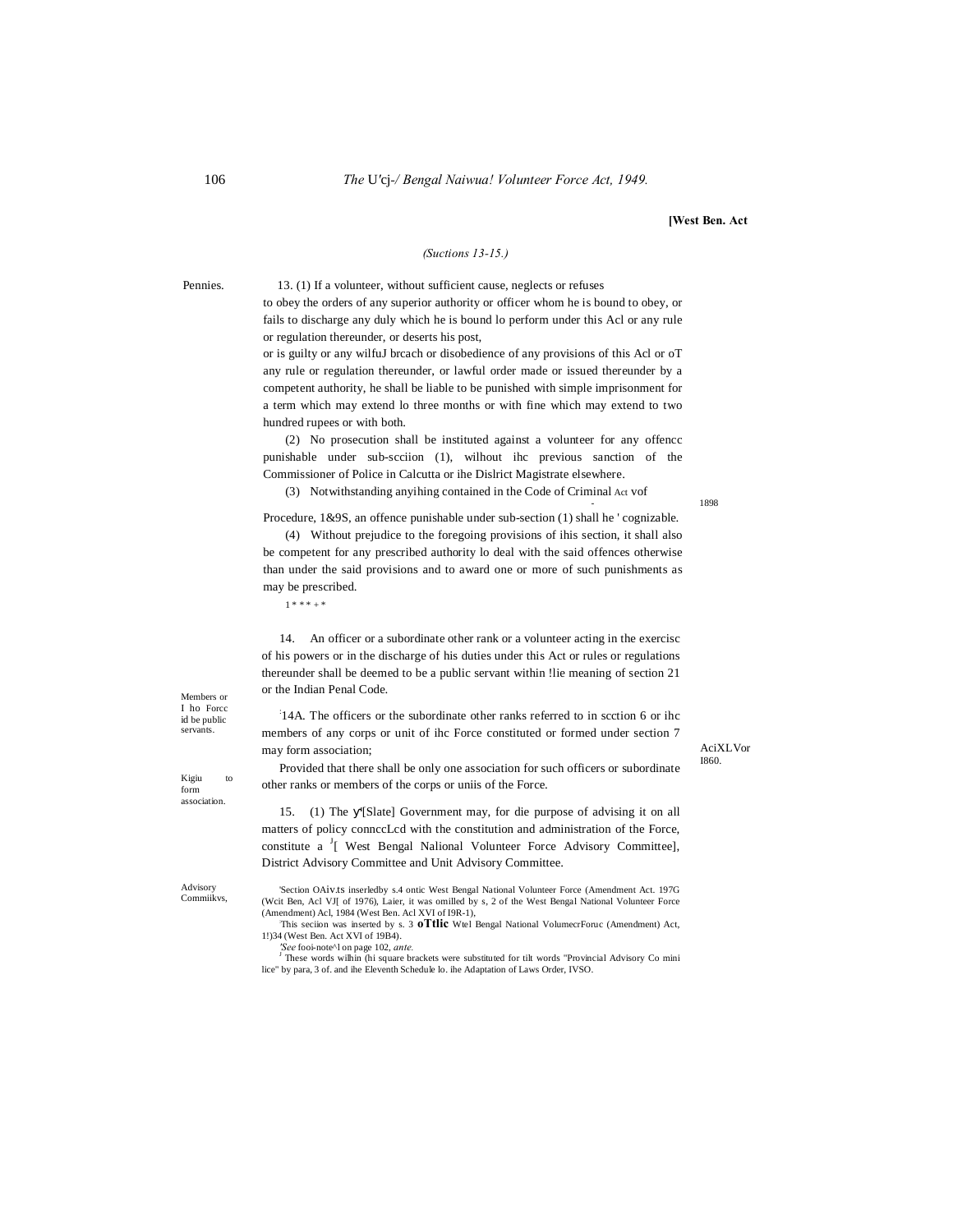# **[West Ben. Act**

#### *(Suctions 13-15.)*

Pennies. 13. (1) If a volunteer, without sufficient cause, neglects or refuses

to obey the orders of any superior authority or officer whom he is bound to obey, or fails to discharge any duly which he is bound lo perform under this Acl or any rule or regulation thereunder, or deserts his post,

or is guilty or any wilfuJ brcach or disobedience of any provisions of this Acl or oT any rule or regulation thereunder, or lawful order made or issued thereunder by a competent authority, he shall be liable to be punished with simple imprisonment for a term which may extend lo three months or with fine which may extend to two hundred rupees or with both.

(2) No prosecution shall be instituted against a volunteer for any offencc punishable under sub-scciion (1), wilhout ihc previous sanction of the Commissioner of Police in Calcutta or ihe Dislrict Magistrate elsewhere.

(3) Notwithstanding anyihing contained in the Code of Criminal Act vof

Procedure, 1&9S, an offence punishable under sub-section (1) shall he ' cognizable.

(4) Without prejudice to the foregoing provisions of ihis section, it shall also be competent for any prescribed authority lo deal with the said offences otherwise than under the said provisions and to award one or more of such punishments as may be prescribed.

 $1 * * * + + *$ 

14. An officer or a subordinate other rank or a volunteer acting in the exercisc of his powers or in the discharge of his duties under this Act or rules or regulations thereunder shall be deemed to be a public servant within !lie meaning of section 21 or the Indian Penal Code.

: 14A. The officers or the subordinate other ranks referred to in scction 6 or ihc members of any corps or unit of ihc Force constituted or formed under section 7 may form association;

AciXLVor I860.

Provided that there shall be only one association for such officers or subordinate other ranks or members of the corps or uniis of the Force.

15. (1) The '[Slate] Government may, for die purpose of advising it on all matters of policy connccLcd with the constitution and administration of the Force, constitute a <sup>J</sup>[ West Bengal Nalional Volunteer Force Advisory Committee], District Advisory Committee and Unit Advisory Committee.

Advisory Commiikvs,

Members or I ho Forcc id be public serva

Kigiu to form association.

> 'Section OAiv.ts inserledby s.4 ontic West Bengal National Volunteer Force (Amendment Act. 197G (Wcit Ben, Acl VJ[ of 1976), Laier, it was omilled by s, 2 of the West Bengal National Volunteer Force (Amendment) Acl, 1984 (West Ben. Acl XVI of I9R-1),

> This seciion was inserted by s. 3 **oTtlic** Wtel Bengal National VolumecrForuc (Amendment) Act, 1!)34 (West Ben. Act XVI of 19B4).<br> *See* fooi-note<sup> $\lambda$ </sup>l on page 102, *ante*.

> These words wilhin (hi square brackets were substituted for tilt words "Provincial Advisory Co mini lice" by para, 3 of. and ihe Eleventh Schedule lo. ihe Adaptation of Laws Order, IVSO.

- 1898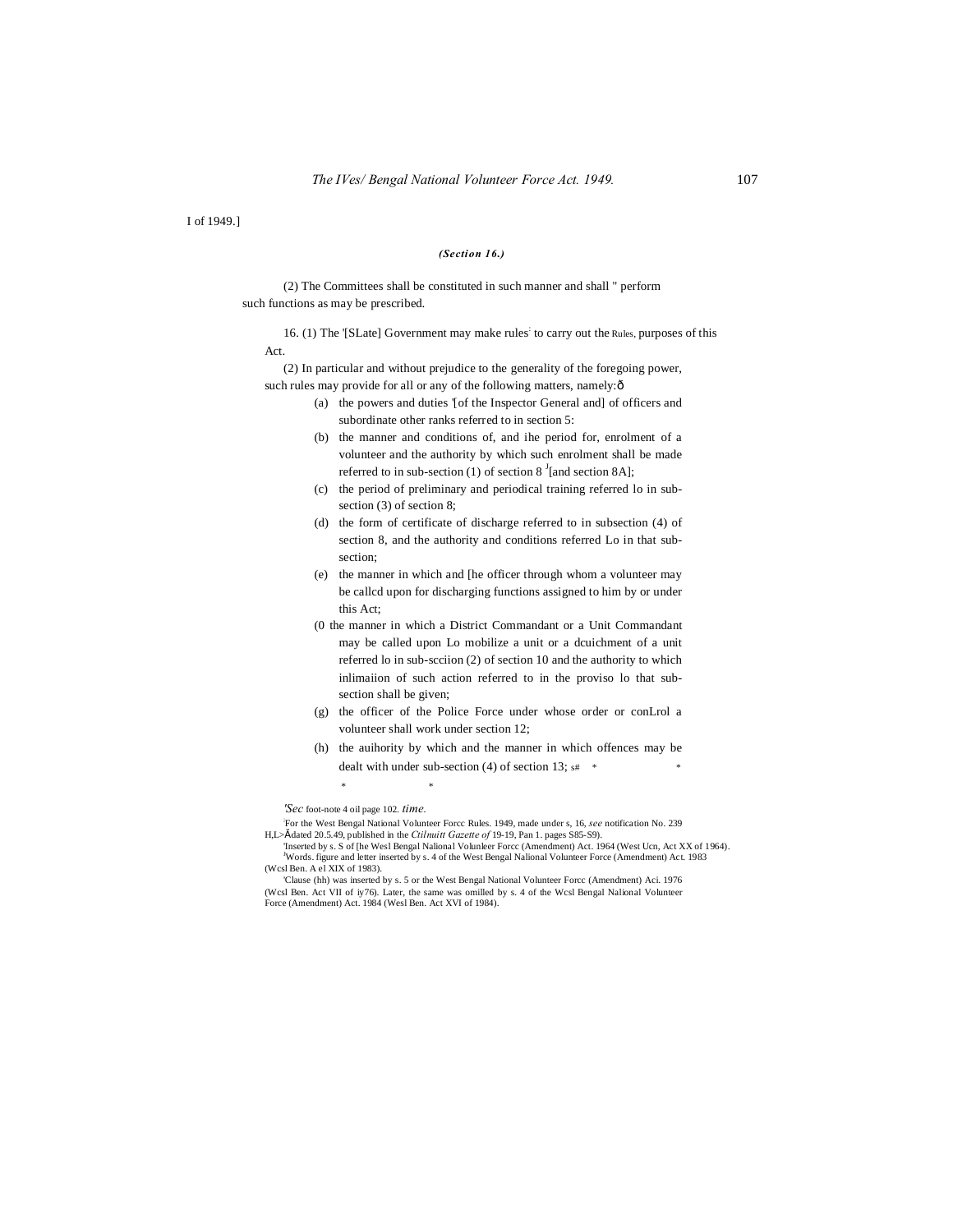I of 1949.]

# *(Section 16.)*

(2) The Committees shall be constituted in such manner and shall " perform such functions as may be prescribed.

16. (1) The '[SLate] Government may make rules: to carry out the Rules, purposes of this Act.

(2) In particular and without prejudice to the generality of the foregoing power, such rules may provide for all or any of the following matters, namely: $\delta$ 

- (a) the powers and duties '[of the Inspector General and] of officers and subordinate other ranks referred to in section 5:
- (b) the manner and conditions of, and ihe period for, enrolment of a volunteer and the authority by which such enrolment shall be made referred to in sub-section (1) of section  $8<sup>J</sup>$  [and section 8A];
- (c) the period of preliminary and periodical training referred lo in subsection (3) of section 8;
- (d) the form of certificate of discharge referred to in subsection (4) of section 8, and the authority and conditions referred Lo in that subsection;
- (e) the manner in which and [he officer through whom a volunteer may be callcd upon for discharging functions assigned to him by or under this Act;
- (0 the manner in which a District Commandant or a Unit Commandant may be called upon Lo mobilize a unit or a dcuichment of a unit referred lo in sub-scciion (2) of section 10 and the authority to which inlimaiion of such action referred to in the proviso lo that subsection shall be given;
- (g) the officer of the Police Force under whose order or conLrol a volunteer shall work under section 12;
- (h) the auihority by which and the manner in which offences may be dealt with under sub-section (4) of section 13;  $s#$  \*

*'Sec* foot-note 4 oil page 102. *time.*

\* \*

; For the West Bengal National Volunteer Forcc Rules. 1949, made under s, 16, *see* notification No. 239 H,L>" dated 20.5.49, published in the *Ctilnuitt Gazette of* 19-19, Pan 1. pages S85-S9).

'Inserted by s. S of [he Wesl Bengal Nalional Volunleer Forcc (Amendment) Act. 1964 (West Ucn, Act XX of 1964). J Words. figure and letter inserted by s. 4 of the West Bengal Nalional Volunteer Force (Amendment) Act. 1983 (Wcsl Ben. A el XIX of 1983).

'Clause (hh) was inserted by s. 5 or the West Bengal National Volunteer Forcc (Amendment) Aci. 1976 (Wcsl Ben. Act VII of iy76). Later, the same was omilled by s. 4 of the Wcsl Bengal Nalional Volunteer Force (Amendment) Act. 1984 (Wesl Ben. Act XVI of 1984).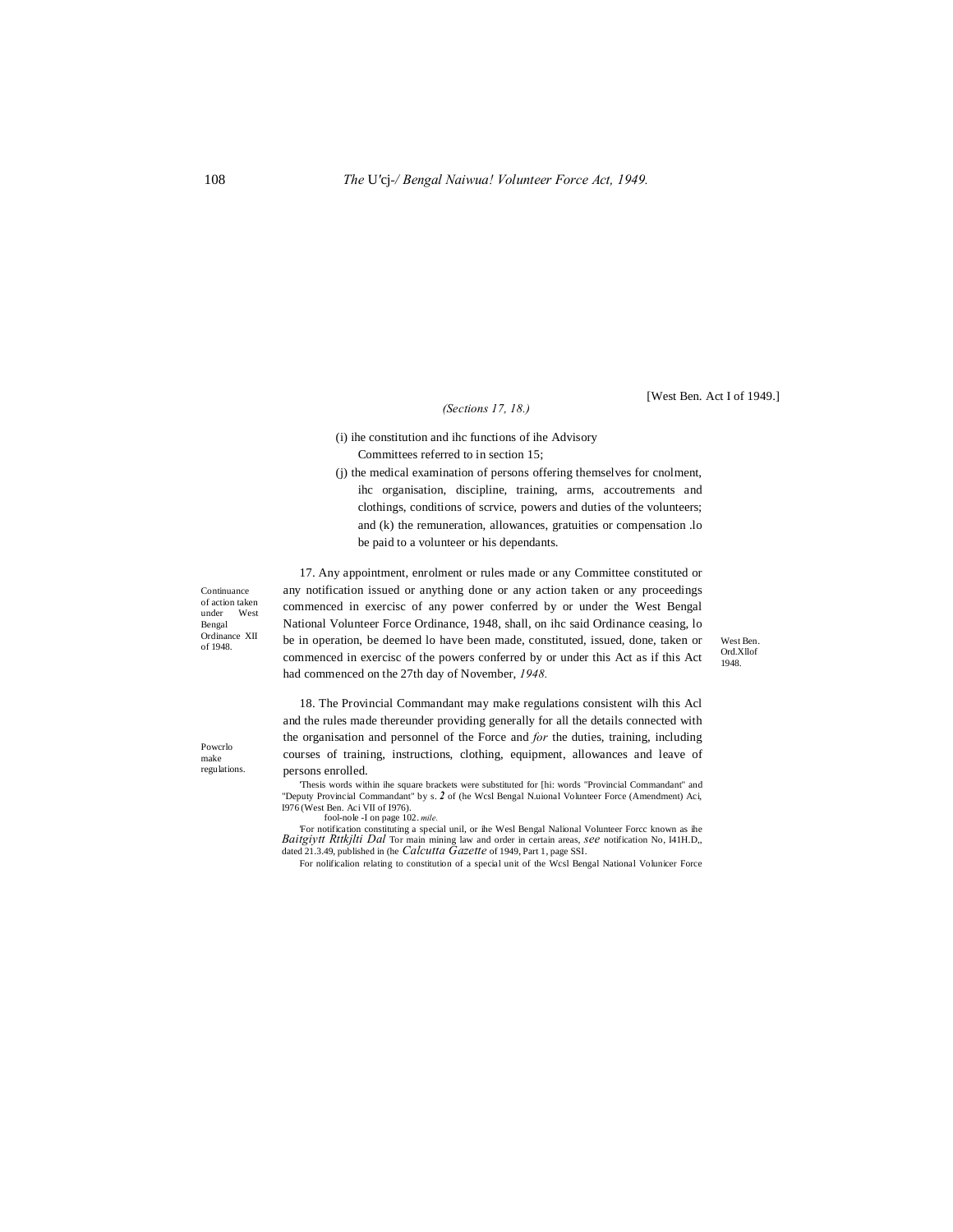[West Ben. Act I of 1949.]

# *(Sections 17, 18.)*

- (i) ihe constitution and ihc functions of ihe Advisory Committees referred to in section 15;
- (j) the medical examination of persons offering themselves for cnolment, ihc organisation, discipline, training, arms, accoutrements and clothings, conditions of scrvice, powers and duties of the volunteers; and (k) the remuneration, allowances, gratuities or compensation .lo be paid to a volunteer or his dependants.

Continuance of action taken under West Bengal Ordinance XII<br>of 1948.

Powcrlo make regulations.

Ordinance XII be in operation, be deemed lo have been made, constituted, issued, done, taken or West Ben. 17. Any appointment, enrolment or rules made or any Committee constituted or any notification issued or anything done or any action taken or any proceedings commenced in exercisc of any power conferred by or under the West Bengal National Volunteer Force Ordinance, 1948, shall, on ihc said Ordinance ceasing, lo commenced in exercisc of the powers conferred by or under this Act as if this Act had commenced on the 27th day of November, *1948.*

Ord.Xllof 1948.

18. The Provincial Commandant may make regulations consistent wilh this Acl and the rules made thereunder providing generally for all the details connected with the organisation and personnel of the Force and *for* the duties, training, including courses of training, instructions, clothing, equipment, allowances and leave of persons enrolled.

'Thesis words within ihe square brackets were substituted for [hi: words "Provincial Commandant" and "Deputy Provincial Commandant" by s. *2* of (he Wcsl Bengal N.uional Volunteer Force (Amendment) Aci, I976 (West Ben. Aci VII of I976). fool-nole -I on page 102. *mile.*

'For notification constituting a special unil, or ihe Wesl Bengal Nalional Volunteer Forcc known as ihe *Baitgiytt Rttkjlti Dal* Tor main mining law and order in certain areas, *see* notification No, I41H.D,, dated 21.3.49, published in (he *Calcutta Gazette* of 1949, Part 1, page SSI.

For nolificalion relating to constitution of a special unit of the Wcsl Bengal National Volunicer Force